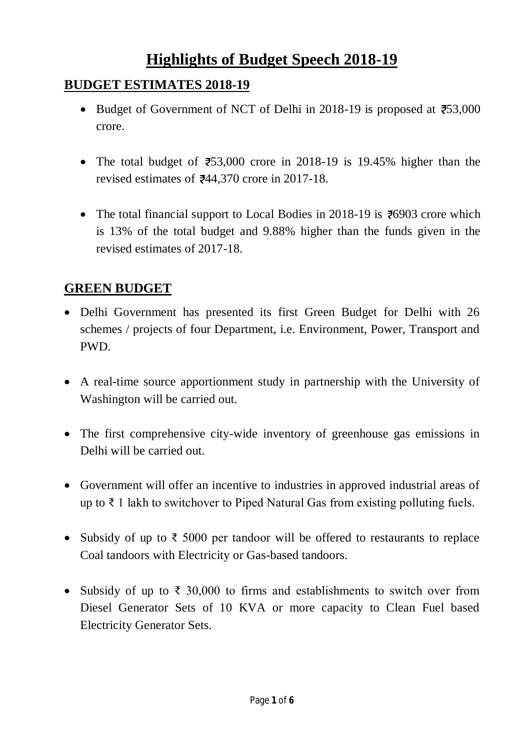# **Highlights of Budget Speech 2018-19**

#### **BUDGET ESTIMATES 2018-19**

- Budget of Government of NCT of Delhi in 2018-19 is proposed at  $753,000$ crore.
- The total budget of  $\overline{2}53,000$  crore in 2018-19 is 19.45% higher than the revised estimates of  $\overline{e}^{44}$ , 370 crore in 2017-18.
- The total financial support to Local Bodies in 2018-19 is  $\overline{6}$ 6903 crore which is 13% of the total budget and 9.88% higher than the funds given in the revised estimates of 2017-18.

### **GREEN BUDGET**

- Delhi Government has presented its first Green Budget for Delhi with 26 schemes / projects of four Department, i.e. Environment, Power, Transport and PWD.
- A real-time source apportionment study in partnership with the University of Washington will be carried out.
- The first comprehensive city-wide inventory of greenhouse gas emissions in Delhi will be carried out.
- Government will offer an incentive to industries in approved industrial areas of up to ₹ 1 lakh to switchover to Piped Natural Gas from existing polluting fuels.
- Subsidy of up to  $\bar{\tau}$  5000 per tandoor will be offered to restaurants to replace Coal tandoors with Electricity or Gas-based tandoors.
- Subsidy of up to  $\bar{\tau}$  30,000 to firms and establishments to switch over from Diesel Generator Sets of 10 KVA or more capacity to Clean Fuel based Electricity Generator Sets.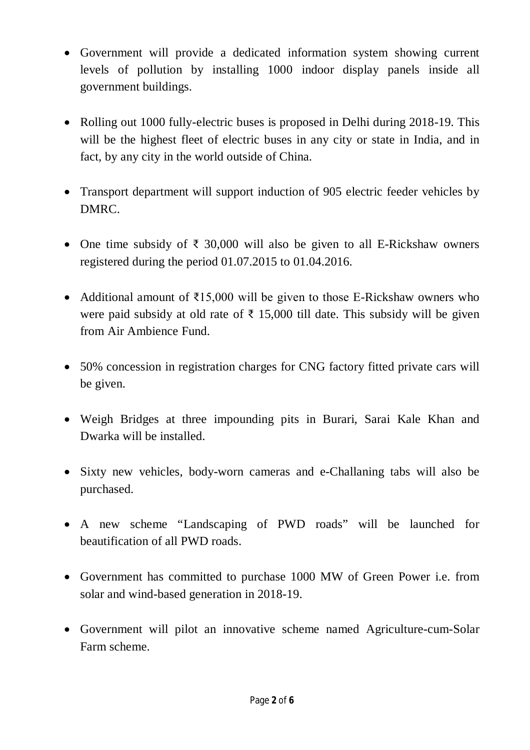- Government will provide a dedicated information system showing current levels of pollution by installing 1000 indoor display panels inside all government buildings.
- Rolling out 1000 fully-electric buses is proposed in Delhi during 2018-19. This will be the highest fleet of electric buses in any city or state in India, and in fact, by any city in the world outside of China.
- Transport department will support induction of 905 electric feeder vehicles by DMRC.
- One time subsidy of  $\bar{\tau}$  30,000 will also be given to all E-Rickshaw owners registered during the period 01.07.2015 to 01.04.2016.
- Additional amount of  $\overline{\xi}$ 15,000 will be given to those E-Rickshaw owners who were paid subsidy at old rate of  $\bar{\tau}$  15,000 till date. This subsidy will be given from Air Ambience Fund.
- 50% concession in registration charges for CNG factory fitted private cars will be given.
- Weigh Bridges at three impounding pits in Burari, Sarai Kale Khan and Dwarka will be installed.
- Sixty new vehicles, body-worn cameras and e-Challaning tabs will also be purchased.
- A new scheme "Landscaping of PWD roads" will be launched for beautification of all PWD roads.
- Government has committed to purchase 1000 MW of Green Power i.e. from solar and wind-based generation in 2018-19.
- Government will pilot an innovative scheme named Agriculture-cum-Solar Farm scheme.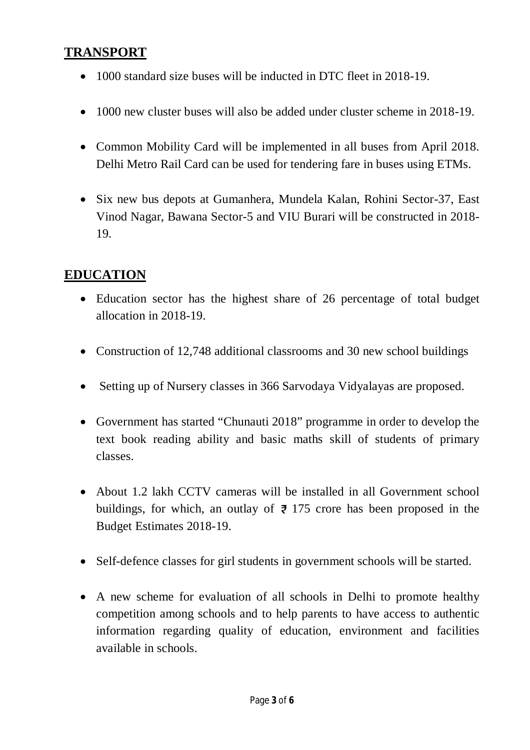#### **TRANSPORT**

- 1000 standard size buses will be inducted in DTC fleet in 2018-19.
- 1000 new cluster buses will also be added under cluster scheme in 2018-19.
- Common Mobility Card will be implemented in all buses from April 2018. Delhi Metro Rail Card can be used for tendering fare in buses using ETMs.
- Six new bus depots at Gumanhera, Mundela Kalan, Rohini Sector-37, East Vinod Nagar, Bawana Sector-5 and VIU Burari will be constructed in 2018- 19.

### **EDUCATION**

- Education sector has the highest share of 26 percentage of total budget allocation in 2018-19.
- Construction of 12,748 additional classrooms and 30 new school buildings
- Setting up of Nursery classes in 366 Sarvodaya Vidyalayas are proposed.
- Government has started "Chunauti 2018" programme in order to develop the text book reading ability and basic maths skill of students of primary classes.
- About 1.2 lakh CCTV cameras will be installed in all Government school buildings, for which, an outlay of  $\overline{z}$  175 crore has been proposed in the Budget Estimates 2018-19.
- Self-defence classes for girl students in government schools will be started.
- A new scheme for evaluation of all schools in Delhi to promote healthy competition among schools and to help parents to have access to authentic information regarding quality of education, environment and facilities available in schools.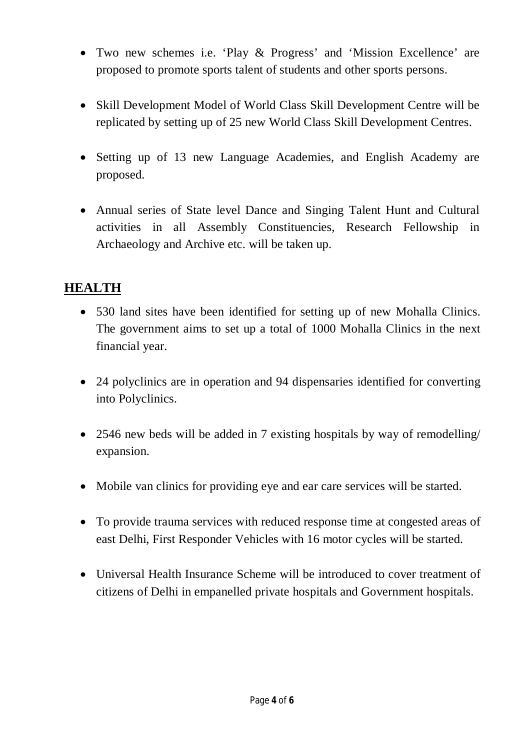- Two new schemes i.e. 'Play & Progress' and 'Mission Excellence' are proposed to promote sports talent of students and other sports persons.
- Skill Development Model of World Class Skill Development Centre will be replicated by setting up of 25 new World Class Skill Development Centres.
- Setting up of 13 new Language Academies, and English Academy are proposed.
- Annual series of State level Dance and Singing Talent Hunt and Cultural activities in all Assembly Constituencies, Research Fellowship in Archaeology and Archive etc. will be taken up.

### **HEALTH**

- 530 land sites have been identified for setting up of new Mohalla Clinics. The government aims to set up a total of 1000 Mohalla Clinics in the next financial year.
- 24 polyclinics are in operation and 94 dispensaries identified for converting into Polyclinics.
- 2546 new beds will be added in 7 existing hospitals by way of remodelling/ expansion.
- Mobile van clinics for providing eye and ear care services will be started.
- To provide trauma services with reduced response time at congested areas of east Delhi, First Responder Vehicles with 16 motor cycles will be started.
- Universal Health Insurance Scheme will be introduced to cover treatment of citizens of Delhi in empanelled private hospitals and Government hospitals.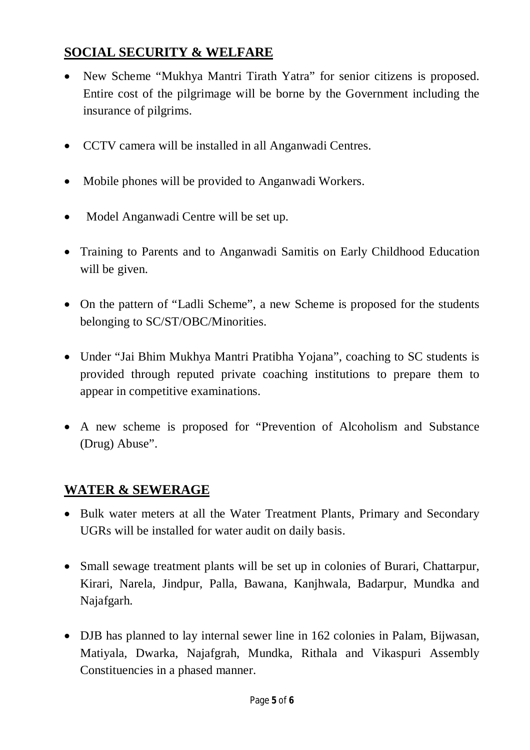### **SOCIAL SECURITY & WELFARE**

- New Scheme "Mukhya Mantri Tirath Yatra" for senior citizens is proposed. Entire cost of the pilgrimage will be borne by the Government including the insurance of pilgrims.
- CCTV camera will be installed in all Anganwadi Centres.
- Mobile phones will be provided to Anganwadi Workers.
- Model Anganwadi Centre will be set up.
- Training to Parents and to Anganwadi Samitis on Early Childhood Education will be given.
- On the pattern of "Ladli Scheme", a new Scheme is proposed for the students belonging to SC/ST/OBC/Minorities.
- Under "Jai Bhim Mukhya Mantri Pratibha Yojana", coaching to SC students is provided through reputed private coaching institutions to prepare them to appear in competitive examinations.
- A new scheme is proposed for "Prevention of Alcoholism and Substance (Drug) Abuse".

### **WATER & SEWERAGE**

- Bulk water meters at all the Water Treatment Plants, Primary and Secondary UGRs will be installed for water audit on daily basis.
- Small sewage treatment plants will be set up in colonies of Burari, Chattarpur, Kirari, Narela, Jindpur, Palla, Bawana, Kanjhwala, Badarpur, Mundka and Najafgarh.
- DJB has planned to lay internal sewer line in 162 colonies in Palam, Bijwasan, Matiyala, Dwarka, Najafgrah, Mundka, Rithala and Vikaspuri Assembly Constituencies in a phased manner.